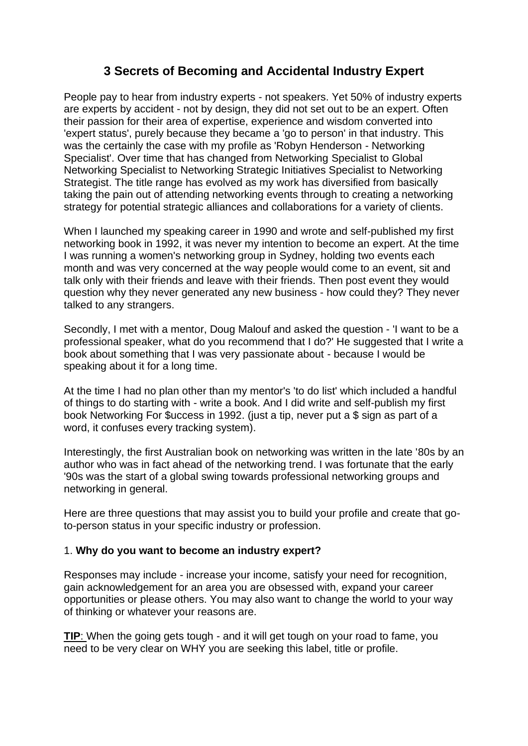## **3 Secrets of Becoming and Accidental Industry Expert**

People pay to hear from industry experts - not speakers. Yet 50% of industry experts are experts by accident - not by design, they did not set out to be an expert. Often their passion for their area of expertise, experience and wisdom converted into 'expert status', purely because they became a 'go to person' in that industry. This was the certainly the case with my profile as 'Robyn Henderson - Networking Specialist'. Over time that has changed from Networking Specialist to Global Networking Specialist to Networking Strategic Initiatives Specialist to Networking Strategist. The title range has evolved as my work has diversified from basically taking the pain out of attending networking events through to creating a networking strategy for potential strategic alliances and collaborations for a variety of clients.

When I launched my speaking career in 1990 and wrote and self-published my first networking book in 1992, it was never my intention to become an expert. At the time I was running a women's networking group in Sydney, holding two events each month and was very concerned at the way people would come to an event, sit and talk only with their friends and leave with their friends. Then post event they would question why they never generated any new business - how could they? They never talked to any strangers.

Secondly, I met with a mentor, Doug Malouf and asked the question - 'I want to be a professional speaker, what do you recommend that I do?' He suggested that I write a book about something that I was very passionate about - because I would be speaking about it for a long time.

At the time I had no plan other than my mentor's 'to do list' which included a handful of things to do starting with - write a book. And I did write and self-publish my first book Networking For \$uccess in 1992. (just a tip, never put a \$ sign as part of a word, it confuses every tracking system).

Interestingly, the first Australian book on networking was written in the late '80s by an author who was in fact ahead of the networking trend. I was fortunate that the early '90s was the start of a global swing towards professional networking groups and networking in general.

Here are three questions that may assist you to build your profile and create that goto-person status in your specific industry or profession.

## 1. **Why do you want to become an industry expert?**

Responses may include - increase your income, satisfy your need for recognition, gain acknowledgement for an area you are obsessed with, expand your career opportunities or please others. You may also want to change the world to your way of thinking or whatever your reasons are.

**TIP:** When the going gets tough - and it will get tough on your road to fame, you need to be very clear on WHY you are seeking this label, title or profile.